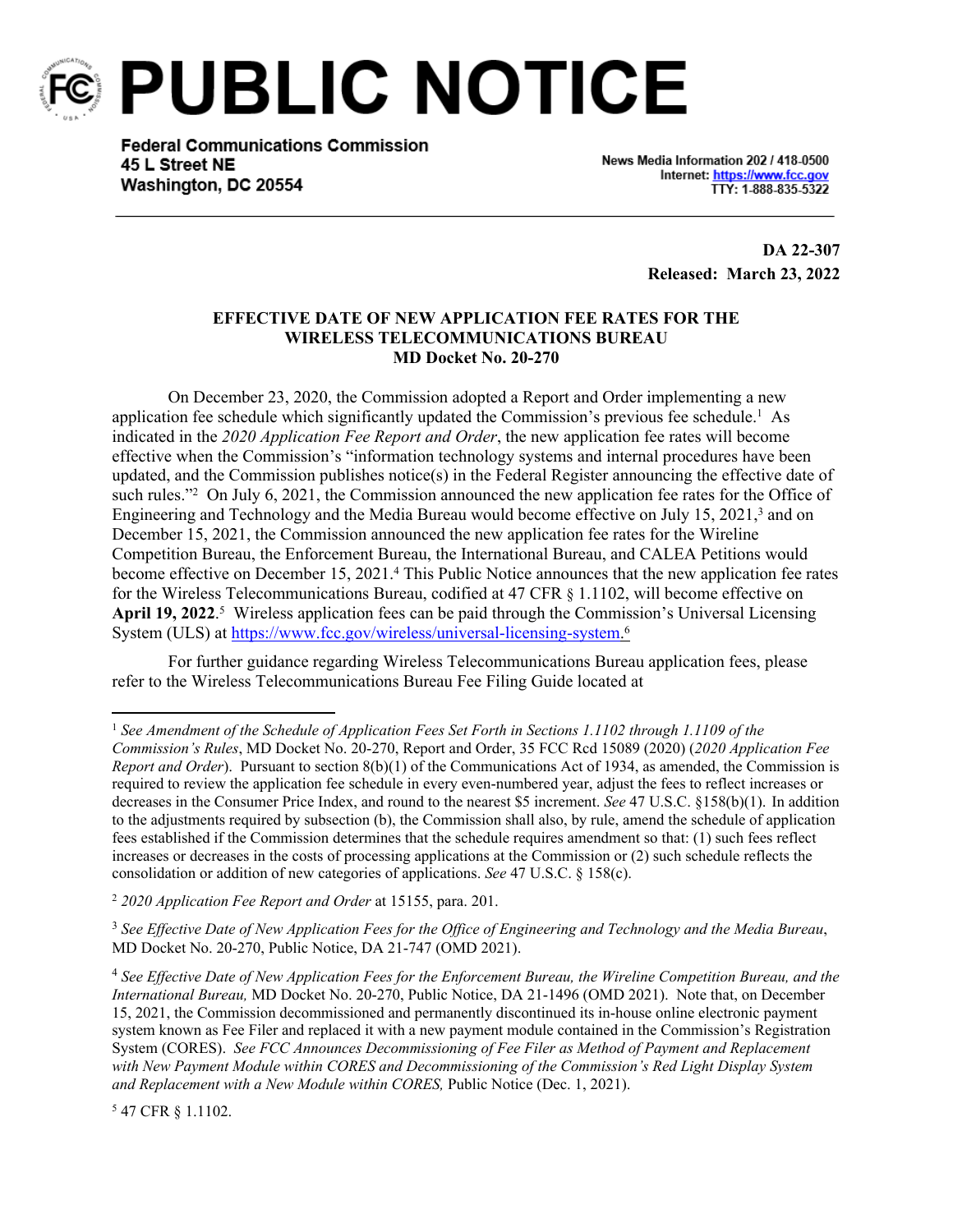

**PUBLIC NOTICE** 

**Federal Communications Commission** 45 L Street NE Washington, DC 20554

News Media Information 202 / 418-0500 Internet: https://www.fcc.gov TTY: 1-888-835-5322

> **DA 22-307 Released: March 23, 2022**

## **EFFECTIVE DATE OF NEW APPLICATION FEE RATES FOR THE WIRELESS TELECOMMUNICATIONS BUREAU MD Docket No. 20-270**

On December 23, 2020, the Commission adopted a Report and Order implementing a new application fee schedule which significantly updated the Commission's previous fee schedule.<sup>1</sup> As indicated in the *2020 Application Fee Report and Order*, the new application fee rates will become effective when the Commission's "information technology systems and internal procedures have been updated, and the Commission publishes notice(s) in the Federal Register announcing the effective date of such rules."<sup>2</sup> On July 6, 2021, the Commission announced the new application fee rates for the Office of Engineering and Technology and the Media Bureau would become effective on July 15, 2021,<sup>3</sup> and on December 15, 2021, the Commission announced the new application fee rates for the Wireline Competition Bureau, the Enforcement Bureau, the International Bureau, and CALEA Petitions would become effective on December 15, 2021.<sup>4</sup> This Public Notice announces that the new application fee rates for the Wireless Telecommunications Bureau, codified at 47 CFR § 1.1102, will become effective on April 19, 2022.<sup>5</sup> Wireless application fees can be paid through the Commission's Universal Licensing System (ULS) at [https://www.fcc.gov/wireless/universal-licensing-system.](https://www.fcc.gov/wireless/universal-licensing-system)<sup>6</sup>

For further guidance regarding Wireless Telecommunications Bureau application fees, please refer to the Wireless Telecommunications Bureau Fee Filing Guide located at

<sup>3</sup> *See Effective Date of New Application Fees for the Office of Engineering and Technology and the Media Bureau*, MD Docket No. 20-270, Public Notice, DA 21-747 (OMD 2021).

5 47 CFR § 1.1102.

<sup>1</sup> *See Amendment of the Schedule of Application Fees Set Forth in Sections 1.1102 through 1.1109 of the Commission's Rules*, MD Docket No. 20-270, Report and Order, 35 FCC Rcd 15089 (2020) (*2020 Application Fee Report and Order*). Pursuant to section 8(b)(1) of the Communications Act of 1934, as amended, the Commission is required to review the application fee schedule in every even-numbered year, adjust the fees to reflect increases or decreases in the Consumer Price Index, and round to the nearest \$5 increment. *See* 47 U.S.C. §158(b)(1). In addition to the adjustments required by subsection (b), the Commission shall also, by rule, amend the schedule of application fees established if the Commission determines that the schedule requires amendment so that: (1) such fees reflect increases or decreases in the costs of processing applications at the Commission or (2) such schedule reflects the consolidation or addition of new categories of applications. *See* 47 U.S.C. § 158(c).

<sup>2</sup> *2020 Application Fee Report and Order* at 15155, para. 201.

<sup>4</sup> *See Effective Date of New Application Fees for the Enforcement Bureau, the Wireline Competition Bureau, and the International Bureau,* MD Docket No. 20-270, Public Notice, DA 21-1496 (OMD 2021). Note that, on December 15, 2021, the Commission decommissioned and permanently discontinued its in-house online electronic payment system known as Fee Filer and replaced it with a new payment module contained in the Commission's Registration System (CORES). *See FCC Announces Decommissioning of Fee Filer as Method of Payment and Replacement with New Payment Module within CORES and Decommissioning of the Commission's Red Light Display System and Replacement with a New Module within CORES,* Public Notice (Dec. 1, 2021).